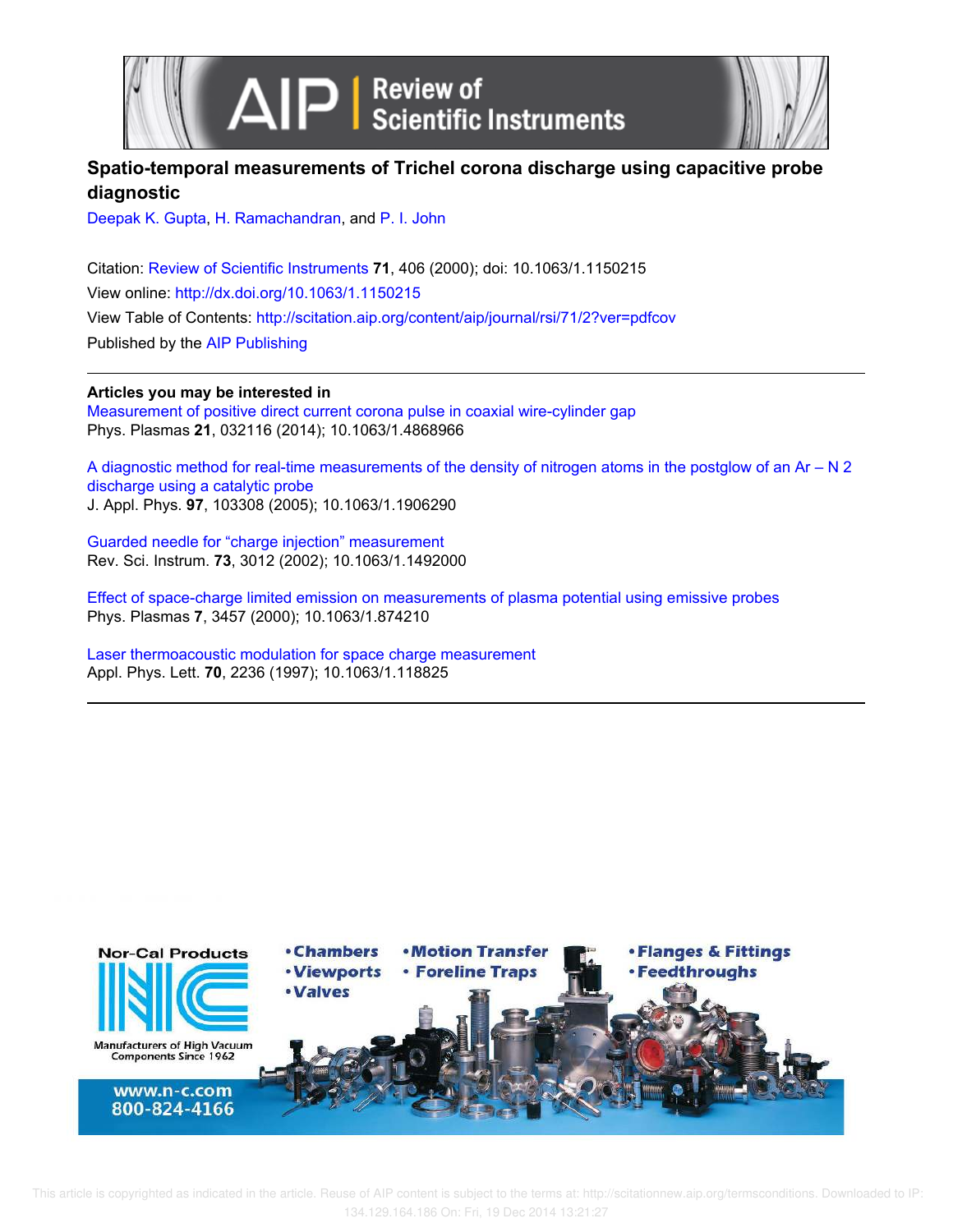



## **Spatio-temporal measurements of Trichel corona discharge using capacitive probe diagnostic**

Deepak K. Gupta, H. Ramachandran, and P. I. John

Citation: Review of Scientific Instruments **71**, 406 (2000); doi: 10.1063/1.1150215 View online: http://dx.doi.org/10.1063/1.1150215 View Table of Contents: http://scitation.aip.org/content/aip/journal/rsi/71/2?ver=pdfcov Published by the AIP Publishing

**Articles you may be interested in**

Measurement of positive direct current corona pulse in coaxial wire-cylinder gap Phys. Plasmas **21**, 032116 (2014); 10.1063/1.4868966

A diagnostic method for real-time measurements of the density of nitrogen atoms in the postglow of an Ar – N 2 discharge using a catalytic probe J. Appl. Phys. **97**, 103308 (2005); 10.1063/1.1906290

Guarded needle for "charge injection" measurement Rev. Sci. Instrum. **73**, 3012 (2002); 10.1063/1.1492000

Effect of space-charge limited emission on measurements of plasma potential using emissive probes Phys. Plasmas **7**, 3457 (2000); 10.1063/1.874210

Laser thermoacoustic modulation for space charge measurement Appl. Phys. Lett. **70**, 2236 (1997); 10.1063/1.118825

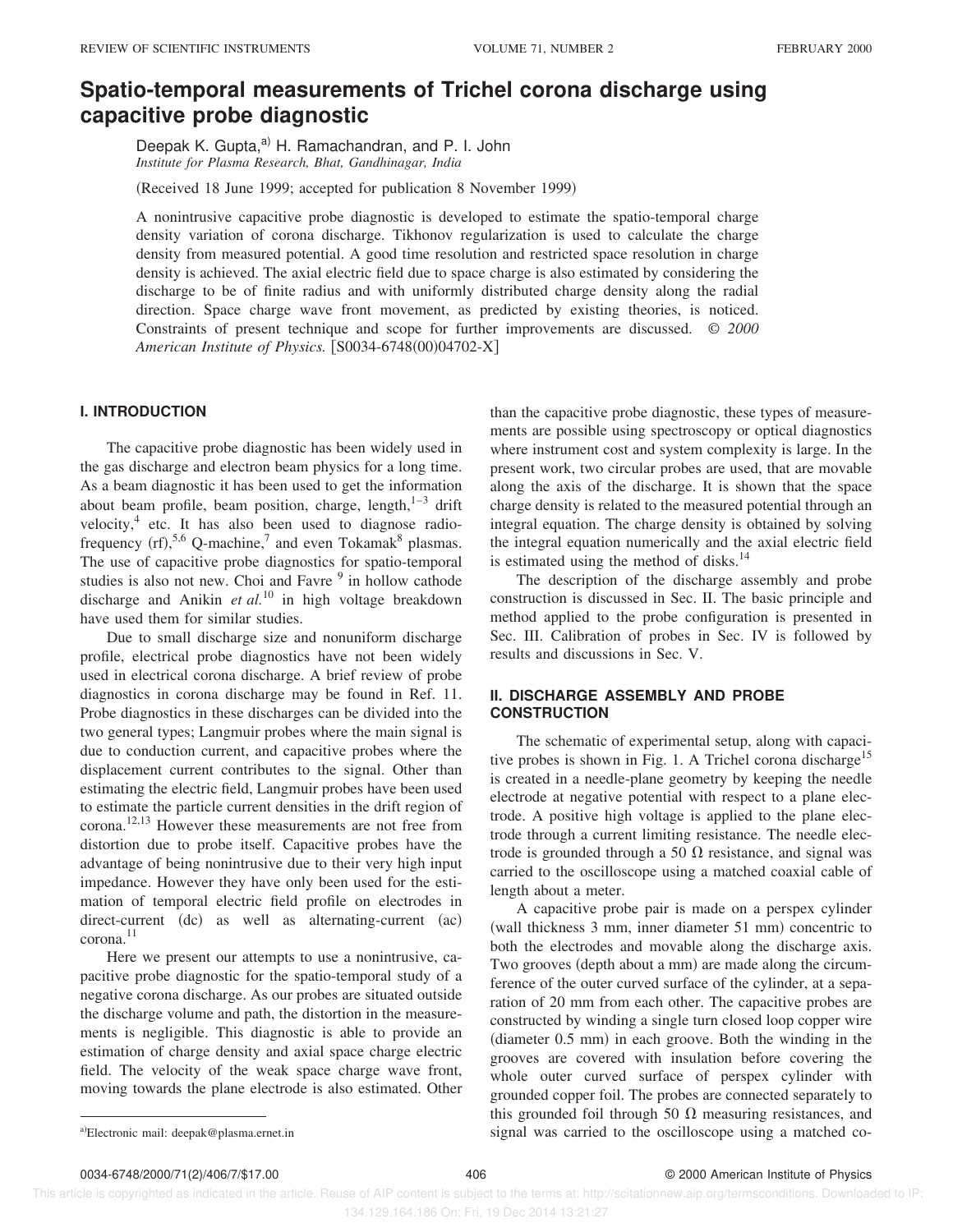# **Spatio-temporal measurements of Trichel corona discharge using capacitive probe diagnostic**

Deepak K. Gupta,<sup>a)</sup> H. Ramachandran, and P. I. John *Institute for Plasma Research, Bhat, Gandhinagar, India*

(Received 18 June 1999; accepted for publication 8 November 1999)

A nonintrusive capacitive probe diagnostic is developed to estimate the spatio-temporal charge density variation of corona discharge. Tikhonov regularization is used to calculate the charge density from measured potential. A good time resolution and restricted space resolution in charge density is achieved. The axial electric field due to space charge is also estimated by considering the discharge to be of finite radius and with uniformly distributed charge density along the radial direction. Space charge wave front movement, as predicted by existing theories, is noticed. Constraints of present technique and scope for further improvements are discussed. © *2000 American Institute of Physics.* [S0034-6748(00)04702-X]

## **I. INTRODUCTION**

The capacitive probe diagnostic has been widely used in the gas discharge and electron beam physics for a long time. As a beam diagnostic it has been used to get the information about beam profile, beam position, charge, length, $1-3$  drift velocity,<sup>4</sup> etc. It has also been used to diagnose radiofrequency  $(rf)$ ,<sup>5,6</sup> Q-machine,<sup>7</sup> and even Tokamak<sup>8</sup> plasmas. The use of capacitive probe diagnostics for spatio-temporal studies is also not new. Choi and Favre <sup>9</sup> in hollow cathode discharge and Anikin *et al.*<sup>10</sup> in high voltage breakdown have used them for similar studies.

Due to small discharge size and nonuniform discharge profile, electrical probe diagnostics have not been widely used in electrical corona discharge. A brief review of probe diagnostics in corona discharge may be found in Ref. 11. Probe diagnostics in these discharges can be divided into the two general types; Langmuir probes where the main signal is due to conduction current, and capacitive probes where the displacement current contributes to the signal. Other than estimating the electric field, Langmuir probes have been used to estimate the particle current densities in the drift region of corona.12,13 However these measurements are not free from distortion due to probe itself. Capacitive probes have the advantage of being nonintrusive due to their very high input impedance. However they have only been used for the estimation of temporal electric field profile on electrodes in  $direct-current$   $(dc)$  as well as alternating-current  $(ac)$  $corona.<sup>11</sup>$ 

Here we present our attempts to use a nonintrusive, capacitive probe diagnostic for the spatio-temporal study of a negative corona discharge. As our probes are situated outside the discharge volume and path, the distortion in the measurements is negligible. This diagnostic is able to provide an estimation of charge density and axial space charge electric field. The velocity of the weak space charge wave front, moving towards the plane electrode is also estimated. Other

than the capacitive probe diagnostic, these types of measurements are possible using spectroscopy or optical diagnostics where instrument cost and system complexity is large. In the present work, two circular probes are used, that are movable along the axis of the discharge. It is shown that the space charge density is related to the measured potential through an integral equation. The charge density is obtained by solving the integral equation numerically and the axial electric field is estimated using the method of disks. $<sup>14</sup>$ </sup>

The description of the discharge assembly and probe construction is discussed in Sec. II. The basic principle and method applied to the probe configuration is presented in Sec. III. Calibration of probes in Sec. IV is followed by results and discussions in Sec. V.

## **II. DISCHARGE ASSEMBLY AND PROBE CONSTRUCTION**

The schematic of experimental setup, along with capacitive probes is shown in Fig. 1. A Trichel corona discharge<sup>15</sup> is created in a needle-plane geometry by keeping the needle electrode at negative potential with respect to a plane electrode. A positive high voltage is applied to the plane electrode through a current limiting resistance. The needle electrode is grounded through a 50  $\Omega$  resistance, and signal was carried to the oscilloscope using a matched coaxial cable of length about a meter.

A capacitive probe pair is made on a perspex cylinder  $(wall$  thickness 3 mm, inner diameter 51 mm) concentric to both the electrodes and movable along the discharge axis. Two grooves (depth about a mm) are made along the circumference of the outer curved surface of the cylinder, at a separation of 20 mm from each other. The capacitive probes are constructed by winding a single turn closed loop copper wire  $(diameter 0.5 mm)$  in each groove. Both the winding in the grooves are covered with insulation before covering the whole outer curved surface of perspex cylinder with grounded copper foil. The probes are connected separately to this grounded foil through 50  $\Omega$  measuring resistances, and a)Electronic mail: deepak@plasma.ernet.in signal was carried to the oscilloscope using a matched co-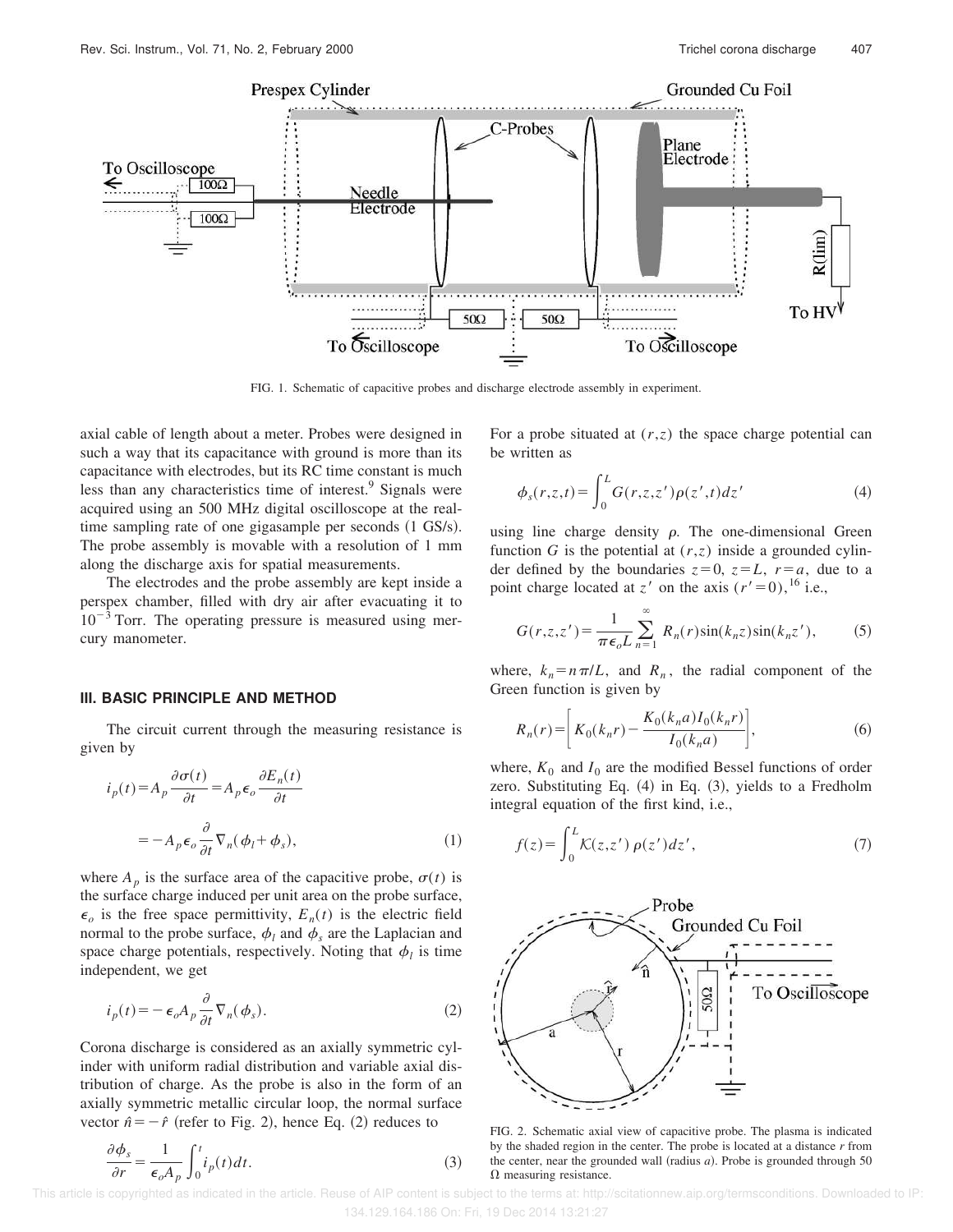

FIG. 1. Schematic of capacitive probes and discharge electrode assembly in experiment.

axial cable of length about a meter. Probes were designed in such a way that its capacitance with ground is more than its capacitance with electrodes, but its RC time constant is much less than any characteristics time of interest.<sup>9</sup> Signals were acquired using an 500 MHz digital oscilloscope at the realtime sampling rate of one gigasample per seconds  $(1 \text{ GS/s}).$ The probe assembly is movable with a resolution of 1 mm along the discharge axis for spatial measurements.

The electrodes and the probe assembly are kept inside a perspex chamber, filled with dry air after evacuating it to  $10^{-3}$  Torr. The operating pressure is measured using mercury manometer.

#### **III. BASIC PRINCIPLE AND METHOD**

The circuit current through the measuring resistance is given by

$$
i_p(t) = A_p \frac{\partial \sigma(t)}{\partial t} = A_p \epsilon_o \frac{\partial E_n(t)}{\partial t}
$$

$$
= -A_p \epsilon_o \frac{\partial}{\partial t} \nabla_n(\phi_l + \phi_s), \qquad (1)
$$

where  $A_p$  is the surface area of the capacitive probe,  $\sigma(t)$  is the surface charge induced per unit area on the probe surface,  $\epsilon_o$  is the free space permittivity,  $E_n(t)$  is the electric field normal to the probe surface,  $\phi_l$  and  $\phi_s$  are the Laplacian and space charge potentials, respectively. Noting that  $\phi_l$  is time independent, we get

$$
i_p(t) = -\epsilon_o A_p \frac{\partial}{\partial t} \nabla_n(\phi_s). \tag{2}
$$

Corona discharge is considered as an axially symmetric cylinder with uniform radial distribution and variable axial distribution of charge. As the probe is also in the form of an axially symmetric metallic circular loop, the normal surface vector  $\hat{n} = -\hat{r}$  (refer to Fig. 2), hence Eq. (2) reduces to

$$
\frac{\partial \phi_s}{\partial r} = \frac{1}{\epsilon_o A_p} \int_0^t i_p(t) dt.
$$
 (3)

For a probe situated at  $(r, z)$  the space charge potential can be written as

$$
\phi_s(r,z,t) = \int_0^L G(r,z,z')\rho(z',t)dz'
$$
\n(4)

using line charge density  $\rho$ . The one-dimensional Green function *G* is the potential at  $(r, z)$  inside a grounded cylinder defined by the boundaries  $z=0$ ,  $z=L$ ,  $r=a$ , due to a point charge located at *z'* on the axis  $(r' = 0)$ , <sup>16</sup> i.e.,

$$
G(r, z, z') = \frac{1}{\pi \epsilon_o L} \sum_{n=1}^{\infty} R_n(r) \sin(k_n z) \sin(k_n z'),
$$
 (5)

where,  $k_n = n \pi/L$ , and  $R_n$ , the radial component of the Green function is given by

$$
R_n(r) = \left[ K_0(k_n r) - \frac{K_0(k_n a) I_0(k_n r)}{I_0(k_n a)} \right],
$$
 (6)

where,  $K_0$  and  $I_0$  are the modified Bessel functions of order zero. Substituting Eq.  $(4)$  in Eq.  $(3)$ , yields to a Fredholm integral equation of the first kind, i.e.,

$$
f(z) = \int_0^L K(z, z') \, \rho(z') \, dz',\tag{7}
$$



FIG. 2. Schematic axial view of capacitive probe. The plasma is indicated by the shaded region in the center. The probe is located at a distance *r* from the center, near the grounded wall (radius  $a$ ). Probe is grounded through 50  $\Omega$  measuring resistance.

This article is copyrighted as indicated in the article. Reuse of AIP content is subject to the terms at: http://scitationnew.aip.org/termsconditions. Downloaded to IP: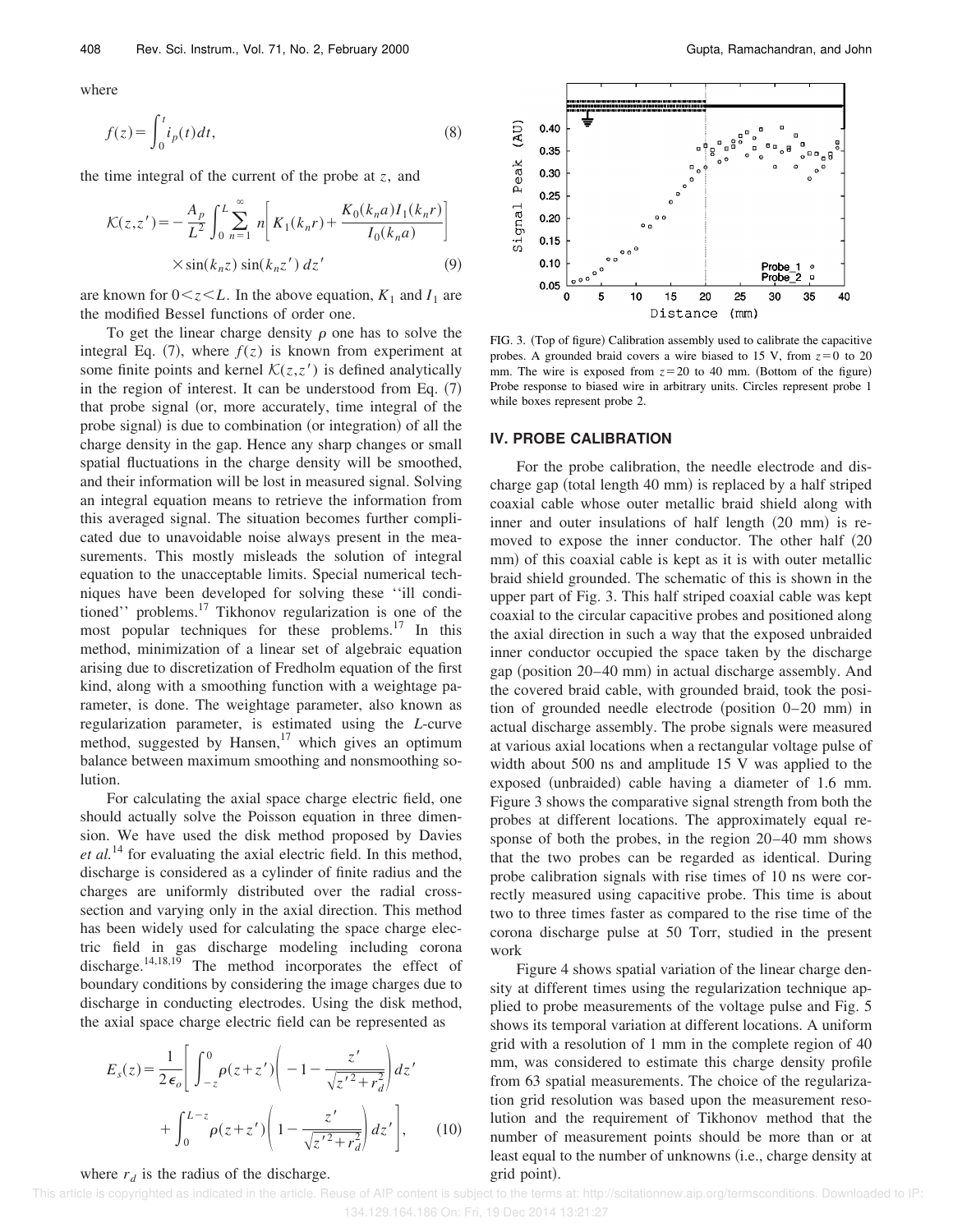where

$$
f(z) = \int_0^t i_p(t)dt,
$$
\n(8)

the time integral of the current of the probe at *z*, and

$$
\mathcal{K}(z, z') = -\frac{A_p}{L^2} \int_0^L \sum_{n=1}^\infty n \bigg[ K_1(k_n r) + \frac{K_0(k_n a) I_1(k_n r)}{I_0(k_n a)} \bigg] \times \sin(k_n z) \sin(k_n z') \, dz' \tag{9}
$$

are known for  $0 \lt z \lt L$ . In the above equation,  $K_1$  and  $I_1$  are the modified Bessel functions of order one.

To get the linear charge density  $\rho$  one has to solve the integral Eq.  $(7)$ , where  $f(z)$  is known from experiment at some finite points and kernel  $\mathcal{K}(z, z)$  is defined analytically in the region of interest. It can be understood from Eq.  $(7)$ that probe signal (or, more accurately, time integral of the probe signal) is due to combination (or integration) of all the charge density in the gap. Hence any sharp changes or small spatial fluctuations in the charge density will be smoothed, and their information will be lost in measured signal. Solving an integral equation means to retrieve the information from this averaged signal. The situation becomes further complicated due to unavoidable noise always present in the measurements. This mostly misleads the solution of integral equation to the unacceptable limits. Special numerical techniques have been developed for solving these ''ill conditioned'' problems.<sup>17</sup> Tikhonov regularization is one of the most popular techniques for these problems.<sup>17</sup> In this method, minimization of a linear set of algebraic equation arising due to discretization of Fredholm equation of the first kind, along with a smoothing function with a weightage parameter, is done. The weightage parameter, also known as regularization parameter, is estimated using the *L*-curve method, suggested by Hansen, $17$  which gives an optimum balance between maximum smoothing and nonsmoothing solution.

For calculating the axial space charge electric field, one should actually solve the Poisson equation in three dimension. We have used the disk method proposed by Davies *et al.*<sup>14</sup> for evaluating the axial electric field. In this method, discharge is considered as a cylinder of finite radius and the charges are uniformly distributed over the radial crosssection and varying only in the axial direction. This method has been widely used for calculating the space charge electric field in gas discharge modeling including corona discharge.<sup>14,18,19</sup> The method incorporates the effect of boundary conditions by considering the image charges due to discharge in conducting electrodes. Using the disk method, the axial space charge electric field can be represented as

$$
E_s(z) = \frac{1}{2\epsilon_o} \left[ \int_{-z}^0 \rho(z+z') \left( -1 - \frac{z'}{\sqrt{z'^2 + r_d^2}} \right) dz' + \int_0^{L-z} \rho(z+z') \left( 1 - \frac{z'}{\sqrt{z'^2 + r_d^2}} \right) dz' \right],
$$
 (10)

## where  $r_d$  is the radius of the discharge.



FIG. 3. (Top of figure) Calibration assembly used to calibrate the capacitive probes. A grounded braid covers a wire biased to 15 V, from  $z=0$  to 20 mm. The wire is exposed from  $z=20$  to 40 mm. (Bottom of the figure) Probe response to biased wire in arbitrary units. Circles represent probe 1 while boxes represent probe 2.

### **IV. PROBE CALIBRATION**

For the probe calibration, the needle electrode and discharge gap (total length  $40$  mm) is replaced by a half striped coaxial cable whose outer metallic braid shield along with inner and outer insulations of half length  $(20 \text{ mm})$  is removed to expose the inner conductor. The other half  $(20$ mm) of this coaxial cable is kept as it is with outer metallic braid shield grounded. The schematic of this is shown in the upper part of Fig. 3. This half striped coaxial cable was kept coaxial to the circular capacitive probes and positioned along the axial direction in such a way that the exposed unbraided inner conductor occupied the space taken by the discharge  $gap (position 20–40 mm)$  in actual discharge assembly. And the covered braid cable, with grounded braid, took the position of grounded needle electrode (position  $0-20$  mm) in actual discharge assembly. The probe signals were measured at various axial locations when a rectangular voltage pulse of width about 500 ns and amplitude 15 V was applied to the exposed (unbraided) cable having a diameter of  $1.6 \text{ mm}$ . Figure 3 shows the comparative signal strength from both the probes at different locations. The approximately equal response of both the probes, in the region 20–40 mm shows that the two probes can be regarded as identical. During probe calibration signals with rise times of 10 ns were correctly measured using capacitive probe. This time is about two to three times faster as compared to the rise time of the corona discharge pulse at 50 Torr, studied in the present work

Figure 4 shows spatial variation of the linear charge density at different times using the regularization technique applied to probe measurements of the voltage pulse and Fig. 5 shows its temporal variation at different locations. A uniform grid with a resolution of 1 mm in the complete region of 40 mm, was considered to estimate this charge density profile from 63 spatial measurements. The choice of the regularization grid resolution was based upon the measurement resolution and the requirement of Tikhonov method that the number of measurement points should be more than or at least equal to the number of unknowns (i.e., charge density at grid point).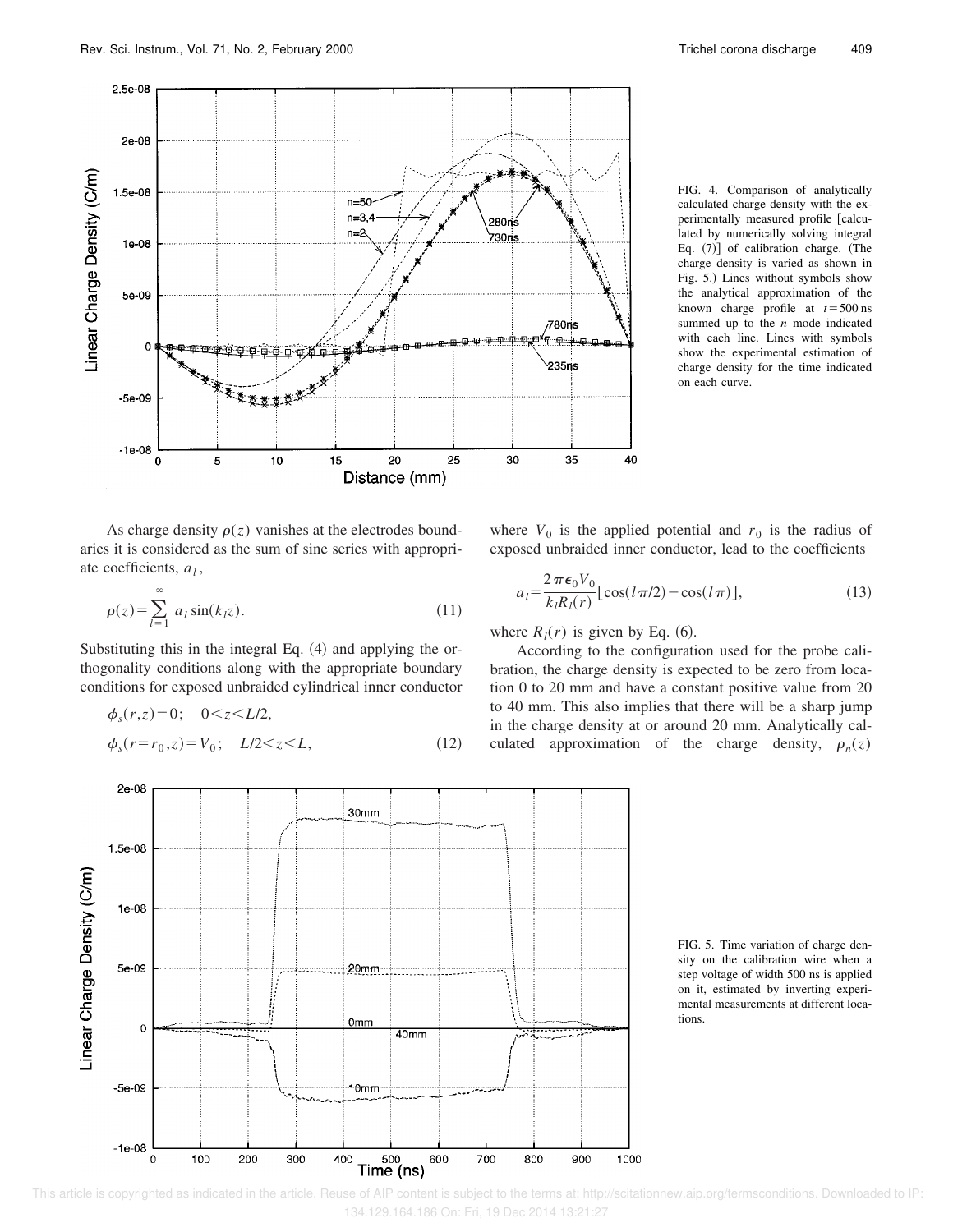

FIG. 4. Comparison of analytically calculated charge density with the experimentally measured profile [calculated by numerically solving integral Eq.  $(7)$ ] of calibration charge. (The charge density is varied as shown in Fig. 5.) Lines without symbols show the analytical approximation of the known charge profile at  $t = 500$  ns summed up to the *n* mode indicated with each line. Lines with symbols show the experimental estimation of charge density for the time indicated on each curve.

As charge density  $\rho(z)$  vanishes at the electrodes boundaries it is considered as the sum of sine series with appropriate coefficients, *a<sup>l</sup>* ,

$$
\rho(z) = \sum_{l=1}^{\infty} a_l \sin(k_l z). \tag{11}
$$

Substituting this in the integral Eq.  $(4)$  and applying the orthogonality conditions along with the appropriate boundary conditions for exposed unbraided cylindrical inner conductor

$$
\phi_s(r,z) = 0; \quad 0 < z < L/2,\n\phi_s(r = r_0, z) = V_0; \quad L/2 < z < L,
$$
\n(12)

 $2e-08$ 

where  $V_0$  is the applied potential and  $r_0$  is the radius of exposed unbraided inner conductor, lead to the coefficients

$$
a_l = \frac{2\,\pi\epsilon_0 V_0}{k_l R_l(r)} \left[ \cos(l\,\pi/2) - \cos(l\,\pi) \right],\tag{13}
$$

where  $R_l(r)$  is given by Eq. (6).

According to the configuration used for the probe calibration, the charge density is expected to be zero from location 0 to 20 mm and have a constant positive value from 20 to 40 mm. This also implies that there will be a sharp jump in the charge density at or around 20 mm. Analytically calculated approximation of the charge density,  $\rho_n(z)$ 



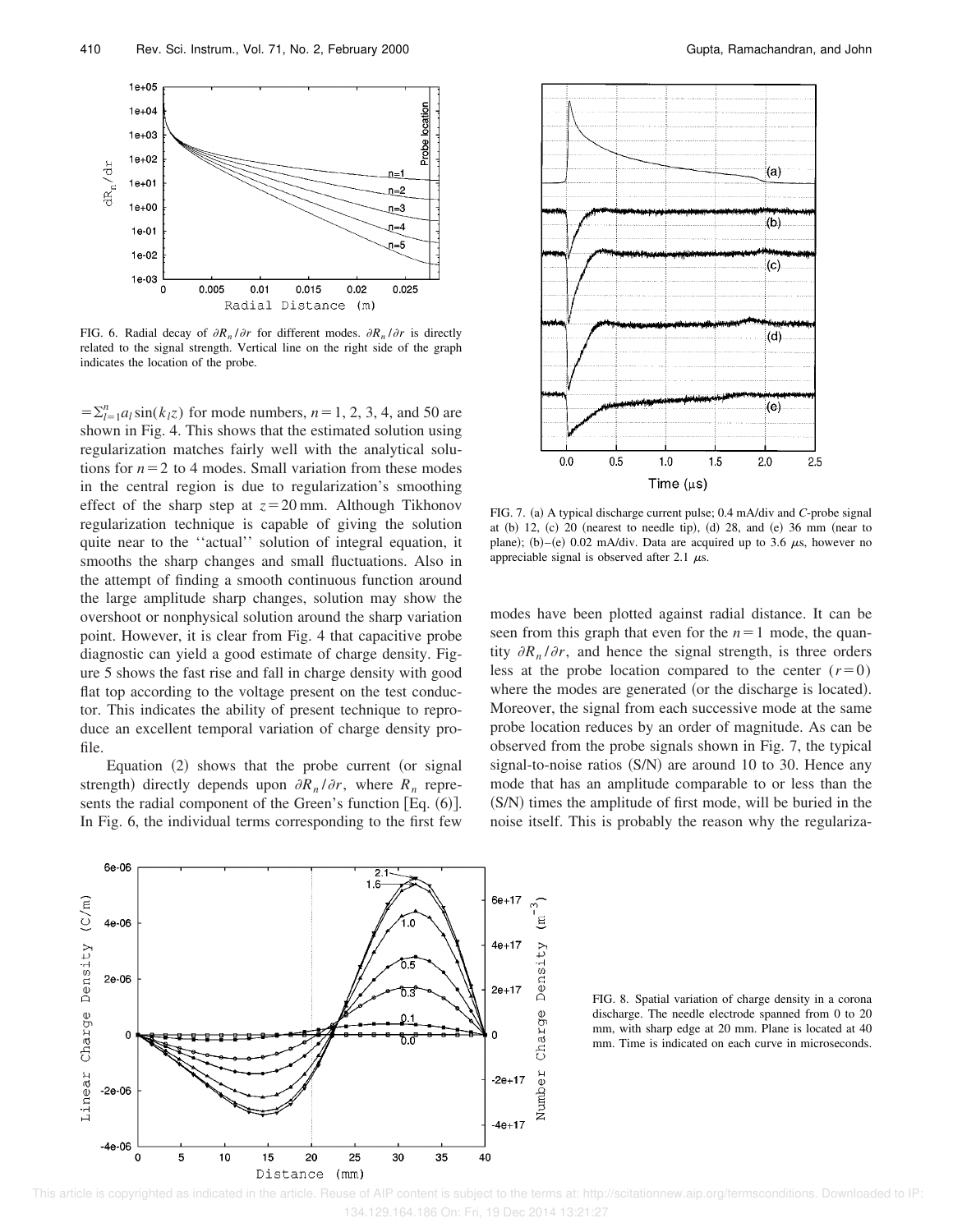

FIG. 6. Radial decay of  $\partial R_n / \partial r$  for different modes.  $\partial R_n / \partial r$  is directly related to the signal strength. Vertical line on the right side of the graph indicates the location of the probe.

 $=\sum_{l=1}^{n} a_l \sin(k_l z)$  for mode numbers,  $n=1, 2, 3, 4$ , and 50 are shown in Fig. 4. This shows that the estimated solution using regularization matches fairly well with the analytical solutions for  $n=2$  to 4 modes. Small variation from these modes in the central region is due to regularization's smoothing effect of the sharp step at  $z=20$  mm. Although Tikhonov regularization technique is capable of giving the solution quite near to the ''actual'' solution of integral equation, it smooths the sharp changes and small fluctuations. Also in the attempt of finding a smooth continuous function around the large amplitude sharp changes, solution may show the overshoot or nonphysical solution around the sharp variation point. However, it is clear from Fig. 4 that capacitive probe diagnostic can yield a good estimate of charge density. Figure 5 shows the fast rise and fall in charge density with good flat top according to the voltage present on the test conductor. This indicates the ability of present technique to reproduce an excellent temporal variation of charge density profile.

Equation  $(2)$  shows that the probe current (or signal strength) directly depends upon  $\partial R_n / \partial r$ , where  $R_n$  represents the radial component of the Green's function [Eq.  $(6)$ ]. In Fig. 6, the individual terms corresponding to the first few



FIG. 7. (a) A typical discharge current pulse; 0.4 mA/div and *C*-probe signal at  $(b)$  12,  $(c)$  20 (nearest to needle tip),  $(d)$  28, and  $(e)$  36 mm (near to plane); (b)–(e) 0.02 mA/div. Data are acquired up to 3.6  $\mu$ s, however no appreciable signal is observed after 2.1  $\mu$ s.

modes have been plotted against radial distance. It can be seen from this graph that even for the  $n=1$  mode, the quantity  $\partial R_n / \partial r$ , and hence the signal strength, is three orders less at the probe location compared to the center  $(r=0)$ where the modes are generated (or the discharge is located). Moreover, the signal from each successive mode at the same probe location reduces by an order of magnitude. As can be observed from the probe signals shown in Fig. 7, the typical signal-to-noise ratios  $(S/N)$  are around 10 to 30. Hence any mode that has an amplitude comparable to or less than the (S/N) times the amplitude of first mode, will be buried in the noise itself. This is probably the reason why the regulariza-



FIG. 8. Spatial variation of charge density in a corona discharge. The needle electrode spanned from 0 to 20 mm, with sharp edge at 20 mm. Plane is located at 40 mm. Time is indicated on each curve in microseconds.

 This article is copyrighted as indicated in the article. Reuse of AIP content is subject to the terms at: http://scitationnew.aip.org/termsconditions. Downloaded to IP: 134.129.164.186 On: Fri, 19 Dec 2014 13:21:27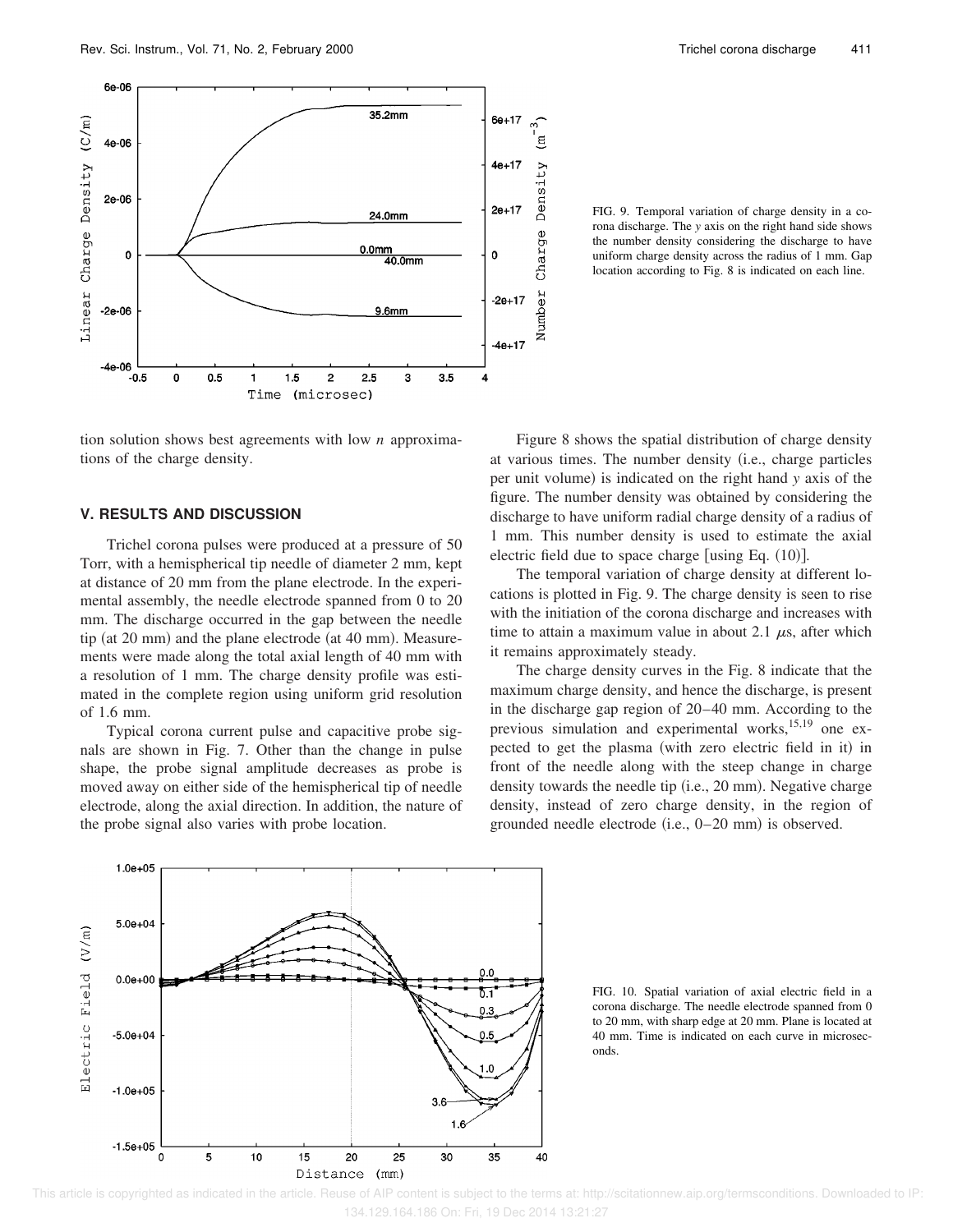

FIG. 9. Temporal variation of charge density in a corona discharge. The *y* axis on the right hand side shows the number density considering the discharge to have uniform charge density across the radius of 1 mm. Gap location according to Fig. 8 is indicated on each line.

tion solution shows best agreements with low *n* approximations of the charge density.

### **V. RESULTS AND DISCUSSION**

Trichel corona pulses were produced at a pressure of 50 Torr, with a hemispherical tip needle of diameter 2 mm, kept at distance of 20 mm from the plane electrode. In the experimental assembly, the needle electrode spanned from 0 to 20 mm. The discharge occurred in the gap between the needle tip (at  $20$  mm) and the plane electrode (at  $40$  mm). Measurements were made along the total axial length of 40 mm with a resolution of 1 mm. The charge density profile was estimated in the complete region using uniform grid resolution of 1.6 mm.

Typical corona current pulse and capacitive probe signals are shown in Fig. 7. Other than the change in pulse shape, the probe signal amplitude decreases as probe is moved away on either side of the hemispherical tip of needle electrode, along the axial direction. In addition, the nature of the probe signal also varies with probe location.

Figure 8 shows the spatial distribution of charge density at various times. The number density (i.e., charge particles per unit volume) is indicated on the right hand *y* axis of the figure. The number density was obtained by considering the discharge to have uniform radial charge density of a radius of 1 mm. This number density is used to estimate the axial electric field due to space charge [using Eq.  $(10)$ ].

The temporal variation of charge density at different locations is plotted in Fig. 9. The charge density is seen to rise with the initiation of the corona discharge and increases with time to attain a maximum value in about 2.1  $\mu$ s, after which it remains approximately steady.

The charge density curves in the Fig. 8 indicate that the maximum charge density, and hence the discharge, is present in the discharge gap region of 20–40 mm. According to the previous simulation and experimental works, $15,19$  one expected to get the plasma (with zero electric field in it) in front of the needle along with the steep change in charge density towards the needle tip (i.e., 20 mm). Negative charge density, instead of zero charge density, in the region of grounded needle electrode  $(i.e., 0-20 \text{ mm})$  is observed.



FIG. 10. Spatial variation of axial electric field in a corona discharge. The needle electrode spanned from 0 to 20 mm, with sharp edge at 20 mm. Plane is located at 40 mm. Time is indicated on each curve in microseconds.

 This article is copyrighted as indicated in the article. Reuse of AIP content is subject to the terms at: http://scitationnew.aip.org/termsconditions. Downloaded to IP: 134.129.164.186 On: Fri, 19 Dec 2014 13:21:27